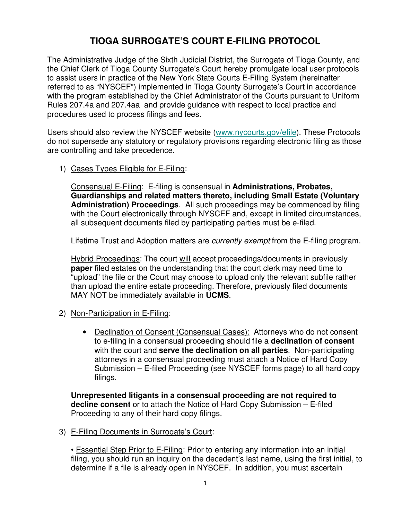# **TIOGA SURROGATE'S COURT E-FILING PROTOCOL**

The Administrative Judge of the Sixth Judicial District, the Surrogate of Tioga County, and the Chief Clerk of Tioga County Surrogate's Court hereby promulgate local user protocols to assist users in practice of the New York State Courts E-Filing System (hereinafter referred to as "NYSCEF") implemented in Tioga County Surrogate's Court in accordance with the program established by the Chief Administrator of the Courts pursuant to Uniform Rules 207.4a and 207.4aa and provide guidance with respect to local practice and procedures used to process filings and fees.

Users should also review the NYSCEF website (www.nycourts.gov/efile). These Protocols do not supersede any statutory or regulatory provisions regarding electronic filing as those are controlling and take precedence.

1) Cases Types Eligible for E-Filing:

Consensual E-Filing: E-filing is consensual in **Administrations, Probates, Guardianships and related matters thereto, including Small Estate (Voluntary Administration) Proceedings**.All such proceedings may be commenced by filing with the Court electronically through NYSCEF and, except in limited circumstances, all subsequent documents filed by participating parties must be e-filed.

Lifetime Trust and Adoption matters are *currently exempt* from the E-filing program.

Hybrid Proceedings: The court will accept proceedings/documents in previously **paper** filed estates on the understanding that the court clerk may need time to "upload" the file or the Court may choose to upload only the relevant subfile rather than upload the entire estate proceeding. Therefore, previously filed documents MAY NOT be immediately available in **UCMS**.

- 2) Non-Participation in E-Filing:
	- Declination of Consent (Consensual Cases): Attorneys who do not consent to e-filing in a consensual proceeding should file a **declination of consent** with the court and **serve the declination on all parties**. Non-participating attorneys in a consensual proceeding must attach a Notice of Hard Copy Submission – E-filed Proceeding (see NYSCEF forms page) to all hard copy filings.

**Unrepresented litigants in a consensual proceeding are not required to decline consent** or to attach the Notice of Hard Copy Submission – E-filed Proceeding to any of their hard copy filings.

3) E-Filing Documents in Surrogate's Court:

• Essential Step Prior to E-Filing: Prior to entering any information into an initial filing, you should run an inquiry on the decedent's last name, using the first initial, to determine if a file is already open in NYSCEF. In addition, you must ascertain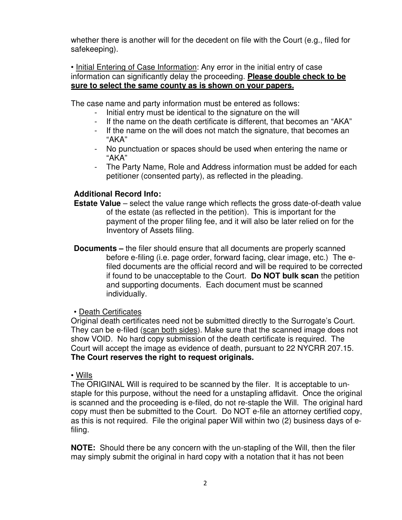whether there is another will for the decedent on file with the Court (e.g., filed for safekeeping).

• Initial Entering of Case Information: Any error in the initial entry of case information can significantly delay the proceeding. **Please double check to be sure to select the same county as is shown on your papers.**

The case name and party information must be entered as follows:

- Initial entry must be identical to the signature on the will
- If the name on the death certificate is different, that becomes an "AKA"
- If the name on the will does not match the signature, that becomes an "AKA"
- No punctuation or spaces should be used when entering the name or "AKA"
- The Party Name, Role and Address information must be added for each petitioner (consented party), as reflected in the pleading.

# **Additional Record Info:**

- **Estate Value** select the value range which reflects the gross date-of-death value of the estate (as reflected in the petition). This is important for the payment of the proper filing fee, and it will also be later relied on for the Inventory of Assets filing.
- **Documents –** the filer should ensure that all documents are properly scanned before e-filing (i.e. page order, forward facing, clear image, etc.) The efiled documents are the official record and will be required to be corrected if found to be unacceptable to the Court. **Do NOT bulk scan** the petition and supporting documents. Each document must be scanned individually.

# • Death Certificates

Original death certificates need not be submitted directly to the Surrogate's Court. They can be e-filed (scan both sides). Make sure that the scanned image does not show VOID. No hard copy submission of the death certificate is required. The Court will accept the image as evidence of death, pursuant to 22 NYCRR 207.15. **The Court reserves the right to request originals.** 

#### • Wills

The ORIGINAL Will is required to be scanned by the filer. It is acceptable to unstaple for this purpose, without the need for a unstapling affidavit. Once the original is scanned and the proceeding is e-filed, do not re-staple the Will. The original hard copy must then be submitted to the Court. Do NOT e-file an attorney certified copy, as this is not required. File the original paper Will within two (2) business days of efiling.

**NOTE:** Should there be any concern with the un-stapling of the Will, then the filer may simply submit the original in hard copy with a notation that it has not been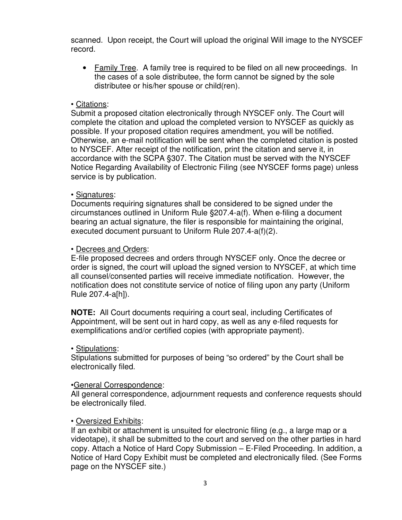scanned. Upon receipt, the Court will upload the original Will image to the NYSCEF record.

• Family Tree. A family tree is required to be filed on all new proceedings. In the cases of a sole distributee, the form cannot be signed by the sole distributee or his/her spouse or child(ren).

#### • Citations:

Submit a proposed citation electronically through NYSCEF only. The Court will complete the citation and upload the completed version to NYSCEF as quickly as possible. If your proposed citation requires amendment, you will be notified. Otherwise, an e-mail notification will be sent when the completed citation is posted to NYSCEF. After receipt of the notification, print the citation and serve it, in accordance with the SCPA §307. The Citation must be served with the NYSCEF Notice Regarding Availability of Electronic Filing (see NYSCEF forms page) unless service is by publication.

#### • Signatures:

 Documents requiring signatures shall be considered to be signed under the circumstances outlined in Uniform Rule §207.4-a(f). When e-filing a document bearing an actual signature, the filer is responsible for maintaining the original, executed document pursuant to Uniform Rule 207.4-a(f)(2).

## • Decrees and Orders:

E-file proposed decrees and orders through NYSCEF only. Once the decree or order is signed, the court will upload the signed version to NYSCEF, at which time all counsel/consented parties will receive immediate notification. However, the notification does not constitute service of notice of filing upon any party (Uniform Rule 207.4-a[h]).

**NOTE:** All Court documents requiring a court seal, including Certificates of Appointment, will be sent out in hard copy, as well as any e-filed requests for exemplifications and/or certified copies (with appropriate payment).

#### • Stipulations:

Stipulations submitted for purposes of being "so ordered" by the Court shall be electronically filed.

#### •General Correspondence:

All general correspondence, adjournment requests and conference requests should be electronically filed.

#### • Oversized Exhibits:

If an exhibit or attachment is unsuited for electronic filing (e.g., a large map or a videotape), it shall be submitted to the court and served on the other parties in hard copy. Attach a Notice of Hard Copy Submission – E-Filed Proceeding. In addition, a Notice of Hard Copy Exhibit must be completed and electronically filed. (See Forms page on the NYSCEF site.)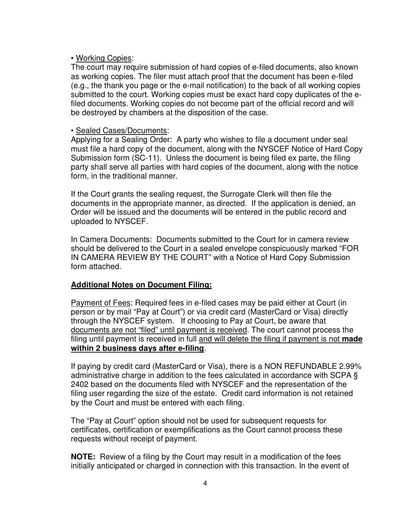#### • Working Copies:

The court may require submission of hard copies of e-filed documents, also known as working copies. The filer must attach proof that the document has been e-filed (e.g., the thank you page or the e-mail notification) to the back of all working copies submitted to the court. Working copies must be exact hard copy duplicates of the efiled documents. Working copies do not become part of the official record and will be destroyed by chambers at the disposition of the case.

#### • Sealed Cases/Documents:

Applying for a Sealing Order: A party who wishes to file a document under seal must file a hard copy of the document, along with the NYSCEF Notice of Hard Copy Submission form (SC-11). Unless the document is being filed ex parte, the filing party shall serve all parties with hard copies of the document, along with the notice form, in the traditional manner.

If the Court grants the sealing request, the Surrogate Clerk will then file the documents in the appropriate manner, as directed. If the application is denied, an Order will be issued and the documents will be entered in the public record and uploaded to NYSCEF.

In Camera Documents: Documents submitted to the Court for in camera review should be delivered to the Court in a sealed envelope conspicuously marked "FOR IN CAMERA REVIEW BY THE COURT" with a Notice of Hard Copy Submission form attached.

#### **Additional Notes on Document Filing:**

Payment of Fees: Required fees in e-filed cases may be paid either at Court (in person or by mail "Pay at Court") or via credit card (MasterCard or Visa) directly through the NYSCEF system.If choosing to Pay at Court, be aware that documents are not "filed" until payment is received. The court cannot process the filing until payment is received in full and will delete the filing if payment is not **made within 2 business days after e-filing**.

If paying by credit card (MasterCard or Visa), there is a NON REFUNDABLE 2.99% administrative charge in addition to the fees calculated in accordance with SCPA § 2402 based on the documents filed with NYSCEF and the representation of the filing user regarding the size of the estate. Credit card information is not retained by the Court and must be entered with each filing.

The "Pay at Court" option should not be used for subsequent requests for certificates, certification or exemplifications as the Court cannot process these requests without receipt of payment.

**NOTE:** Review of a filing by the Court may result in a modification of the fees initially anticipated or charged in connection with this transaction. In the event of